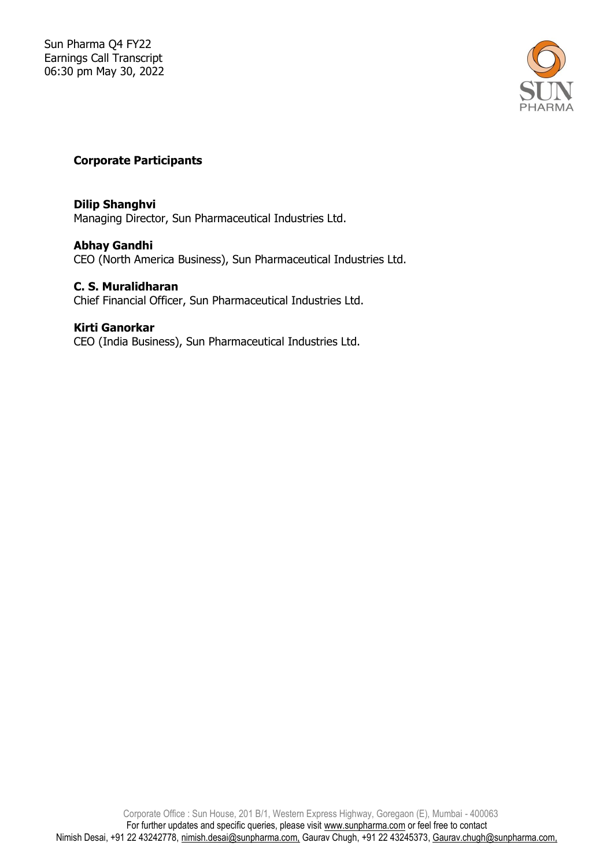

# **Corporate Participants**

### **Dilip Shanghvi**

Managing Director, Sun Pharmaceutical Industries Ltd.

## **Abhay Gandhi**

CEO (North America Business), Sun Pharmaceutical Industries Ltd.

#### **C. S. Muralidharan**

Chief Financial Officer, Sun Pharmaceutical Industries Ltd.

#### **Kirti Ganorkar**

CEO (India Business), Sun Pharmaceutical Industries Ltd.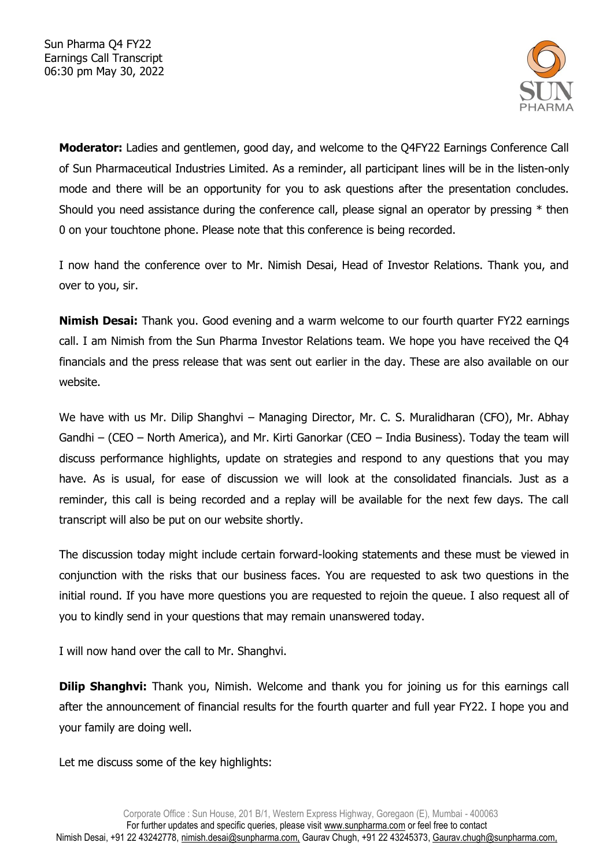

**Moderator:** Ladies and gentlemen, good day, and welcome to the Q4FY22 Earnings Conference Call of Sun Pharmaceutical Industries Limited. As a reminder, all participant lines will be in the listen-only mode and there will be an opportunity for you to ask questions after the presentation concludes. Should you need assistance during the conference call, please signal an operator by pressing \* then 0 on your touchtone phone. Please note that this conference is being recorded.

I now hand the conference over to Mr. Nimish Desai, Head of Investor Relations. Thank you, and over to you, sir.

**Nimish Desai:** Thank you. Good evening and a warm welcome to our fourth quarter FY22 earnings call. I am Nimish from the Sun Pharma Investor Relations team. We hope you have received the Q4 financials and the press release that was sent out earlier in the day. These are also available on our website.

We have with us Mr. Dilip Shanghvi – Managing Director, Mr. C. S. Muralidharan (CFO), Mr. Abhay Gandhi – (CEO – North America), and Mr. Kirti Ganorkar (CEO – India Business). Today the team will discuss performance highlights, update on strategies and respond to any questions that you may have. As is usual, for ease of discussion we will look at the consolidated financials. Just as a reminder, this call is being recorded and a replay will be available for the next few days. The call transcript will also be put on our website shortly.

The discussion today might include certain forward-looking statements and these must be viewed in conjunction with the risks that our business faces. You are requested to ask two questions in the initial round. If you have more questions you are requested to rejoin the queue. I also request all of you to kindly send in your questions that may remain unanswered today.

I will now hand over the call to Mr. Shanghvi.

**Dilip Shanghvi:** Thank you, Nimish. Welcome and thank you for joining us for this earnings call after the announcement of financial results for the fourth quarter and full year FY22. I hope you and your family are doing well.

Let me discuss some of the key highlights: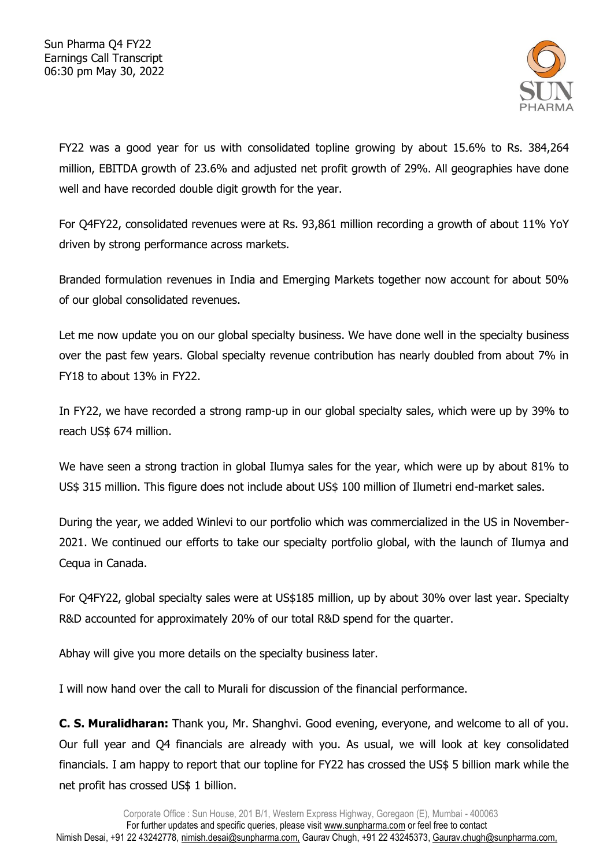

FY22 was a good year for us with consolidated topline growing by about 15.6% to Rs. 384,264 million, EBITDA growth of 23.6% and adjusted net profit growth of 29%. All geographies have done well and have recorded double digit growth for the year.

For Q4FY22, consolidated revenues were at Rs. 93,861 million recording a growth of about 11% YoY driven by strong performance across markets.

Branded formulation revenues in India and Emerging Markets together now account for about 50% of our global consolidated revenues.

Let me now update you on our global specialty business. We have done well in the specialty business over the past few years. Global specialty revenue contribution has nearly doubled from about 7% in FY18 to about 13% in FY22.

In FY22, we have recorded a strong ramp-up in our global specialty sales, which were up by 39% to reach US\$ 674 million.

We have seen a strong traction in global Ilumya sales for the year, which were up by about 81% to US\$ 315 million. This figure does not include about US\$ 100 million of Ilumetri end-market sales.

During the year, we added Winlevi to our portfolio which was commercialized in the US in November-2021. We continued our efforts to take our specialty portfolio global, with the launch of Ilumya and Cequa in Canada.

For Q4FY22, global specialty sales were at US\$185 million, up by about 30% over last year. Specialty R&D accounted for approximately 20% of our total R&D spend for the quarter.

Abhay will give you more details on the specialty business later.

I will now hand over the call to Murali for discussion of the financial performance.

**C. S. Muralidharan:** Thank you, Mr. Shanghvi. Good evening, everyone, and welcome to all of you. Our full year and Q4 financials are already with you. As usual, we will look at key consolidated financials. I am happy to report that our topline for FY22 has crossed the US\$ 5 billion mark while the net profit has crossed US\$ 1 billion.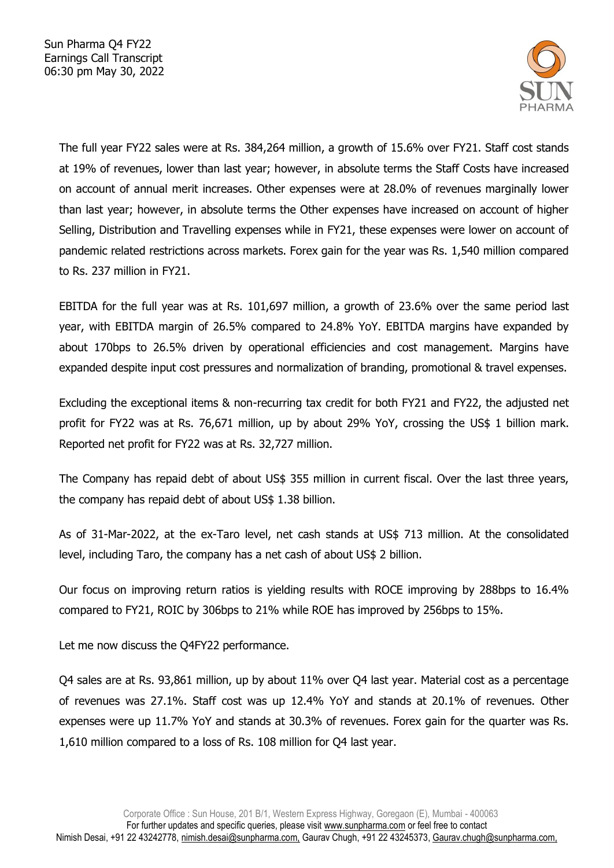

The full year FY22 sales were at Rs. 384,264 million, a growth of 15.6% over FY21. Staff cost stands at 19% of revenues, lower than last year; however, in absolute terms the Staff Costs have increased on account of annual merit increases. Other expenses were at 28.0% of revenues marginally lower than last year; however, in absolute terms the Other expenses have increased on account of higher Selling, Distribution and Travelling expenses while in FY21, these expenses were lower on account of pandemic related restrictions across markets. Forex gain for the year was Rs. 1,540 million compared to Rs. 237 million in FY21.

EBITDA for the full year was at Rs. 101,697 million, a growth of 23.6% over the same period last year, with EBITDA margin of 26.5% compared to 24.8% YoY. EBITDA margins have expanded by about 170bps to 26.5% driven by operational efficiencies and cost management. Margins have expanded despite input cost pressures and normalization of branding, promotional & travel expenses.

Excluding the exceptional items & non-recurring tax credit for both FY21 and FY22, the adjusted net profit for FY22 was at Rs. 76,671 million, up by about 29% YoY, crossing the US\$ 1 billion mark. Reported net profit for FY22 was at Rs. 32,727 million.

The Company has repaid debt of about US\$ 355 million in current fiscal. Over the last three years, the company has repaid debt of about US\$ 1.38 billion.

As of 31-Mar-2022, at the ex-Taro level, net cash stands at US\$ 713 million. At the consolidated level, including Taro, the company has a net cash of about US\$ 2 billion.

Our focus on improving return ratios is yielding results with ROCE improving by 288bps to 16.4% compared to FY21, ROIC by 306bps to 21% while ROE has improved by 256bps to 15%.

Let me now discuss the Q4FY22 performance.

Q4 sales are at Rs. 93,861 million, up by about 11% over Q4 last year. Material cost as a percentage of revenues was 27.1%. Staff cost was up 12.4% YoY and stands at 20.1% of revenues. Other expenses were up 11.7% YoY and stands at 30.3% of revenues. Forex gain for the quarter was Rs. 1,610 million compared to a loss of Rs. 108 million for Q4 last year.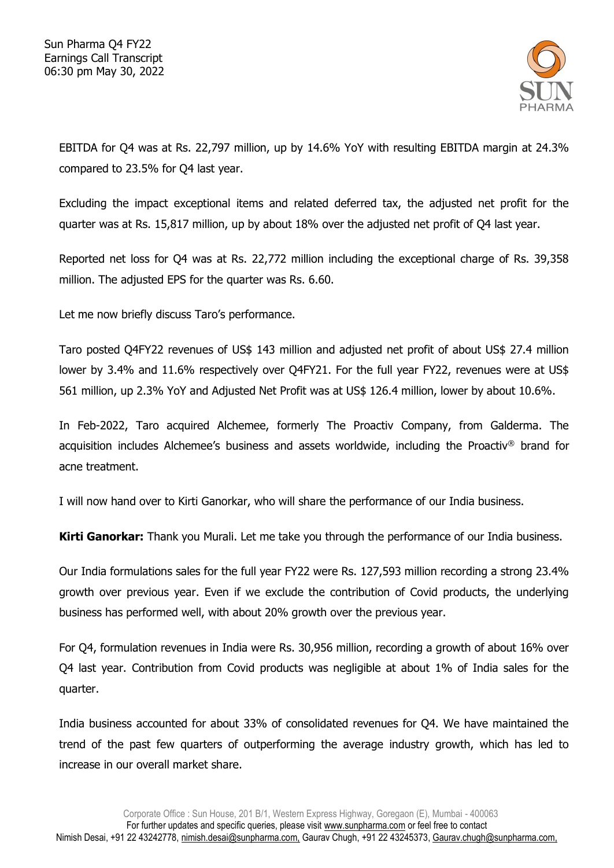

EBITDA for Q4 was at Rs. 22,797 million, up by 14.6% YoY with resulting EBITDA margin at 24.3% compared to 23.5% for Q4 last year.

Excluding the impact exceptional items and related deferred tax, the adjusted net profit for the quarter was at Rs. 15,817 million, up by about 18% over the adjusted net profit of Q4 last year.

Reported net loss for Q4 was at Rs. 22,772 million including the exceptional charge of Rs. 39,358 million. The adjusted EPS for the quarter was Rs. 6.60.

Let me now briefly discuss Taro's performance.

Taro posted Q4FY22 revenues of US\$ 143 million and adjusted net profit of about US\$ 27.4 million lower by 3.4% and 11.6% respectively over Q4FY21. For the full year FY22, revenues were at US\$ 561 million, up 2.3% YoY and Adjusted Net Profit was at US\$ 126.4 million, lower by about 10.6%.

In Feb-2022, Taro acquired Alchemee, formerly The Proactiv Company, from Galderma. The acquisition includes Alchemee's business and assets worldwide, including the Proactiv® brand for acne treatment.

I will now hand over to Kirti Ganorkar, who will share the performance of our India business.

**Kirti Ganorkar:** Thank you Murali. Let me take you through the performance of our India business.

Our India formulations sales for the full year FY22 were Rs. 127,593 million recording a strong 23.4% growth over previous year. Even if we exclude the contribution of Covid products, the underlying business has performed well, with about 20% growth over the previous year.

For Q4, formulation revenues in India were Rs. 30,956 million, recording a growth of about 16% over Q4 last year. Contribution from Covid products was negligible at about 1% of India sales for the quarter.

India business accounted for about 33% of consolidated revenues for Q4. We have maintained the trend of the past few quarters of outperforming the average industry growth, which has led to increase in our overall market share.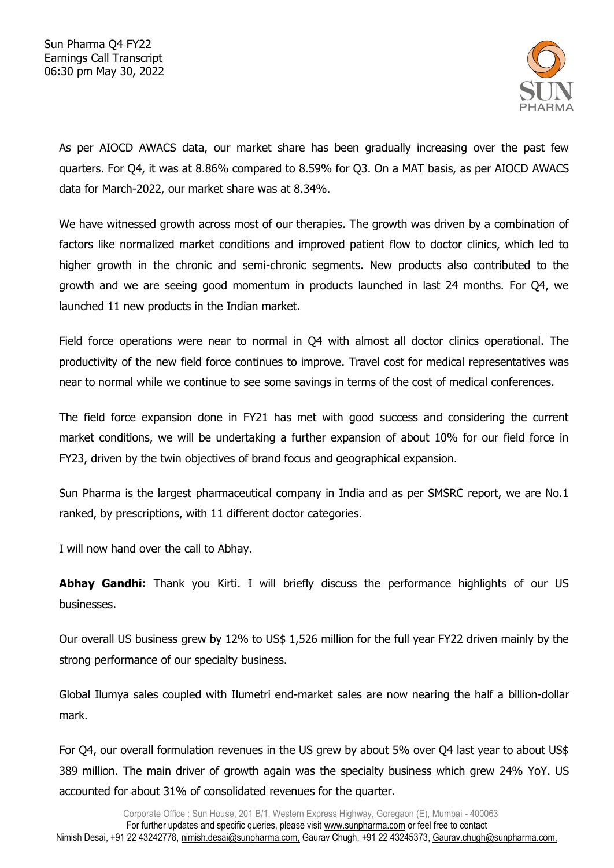

As per AIOCD AWACS data, our market share has been gradually increasing over the past few quarters. For Q4, it was at 8.86% compared to 8.59% for Q3. On a MAT basis, as per AIOCD AWACS data for March-2022, our market share was at 8.34%.

We have witnessed growth across most of our therapies. The growth was driven by a combination of factors like normalized market conditions and improved patient flow to doctor clinics, which led to higher growth in the chronic and semi-chronic segments. New products also contributed to the growth and we are seeing good momentum in products launched in last 24 months. For Q4, we launched 11 new products in the Indian market.

Field force operations were near to normal in Q4 with almost all doctor clinics operational. The productivity of the new field force continues to improve. Travel cost for medical representatives was near to normal while we continue to see some savings in terms of the cost of medical conferences.

The field force expansion done in FY21 has met with good success and considering the current market conditions, we will be undertaking a further expansion of about 10% for our field force in FY23, driven by the twin objectives of brand focus and geographical expansion.

Sun Pharma is the largest pharmaceutical company in India and as per SMSRC report, we are No.1 ranked, by prescriptions, with 11 different doctor categories.

I will now hand over the call to Abhay.

Abhay Gandhi: Thank you Kirti. I will briefly discuss the performance highlights of our US businesses.

Our overall US business grew by 12% to US\$ 1,526 million for the full year FY22 driven mainly by the strong performance of our specialty business.

Global Ilumya sales coupled with Ilumetri end-market sales are now nearing the half a billion-dollar mark.

For Q4, our overall formulation revenues in the US grew by about 5% over Q4 last year to about US\$ 389 million. The main driver of growth again was the specialty business which grew 24% YoY. US accounted for about 31% of consolidated revenues for the quarter.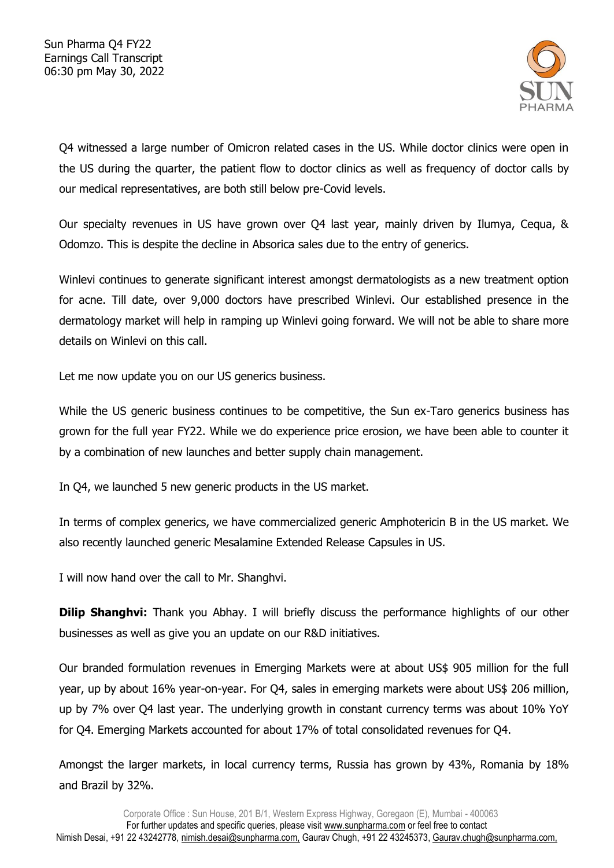

Q4 witnessed a large number of Omicron related cases in the US. While doctor clinics were open in the US during the quarter, the patient flow to doctor clinics as well as frequency of doctor calls by our medical representatives, are both still below pre-Covid levels.

Our specialty revenues in US have grown over Q4 last year, mainly driven by Ilumya, Cequa, & Odomzo. This is despite the decline in Absorica sales due to the entry of generics.

Winlevi continues to generate significant interest amongst dermatologists as a new treatment option for acne. Till date, over 9,000 doctors have prescribed Winlevi. Our established presence in the dermatology market will help in ramping up Winlevi going forward. We will not be able to share more details on Winlevi on this call.

Let me now update you on our US generics business.

While the US generic business continues to be competitive, the Sun ex-Taro generics business has grown for the full year FY22. While we do experience price erosion, we have been able to counter it by a combination of new launches and better supply chain management.

In Q4, we launched 5 new generic products in the US market.

In terms of complex generics, we have commercialized generic Amphotericin B in the US market. We also recently launched generic Mesalamine Extended Release Capsules in US.

I will now hand over the call to Mr. Shanghvi.

**Dilip Shanghvi:** Thank you Abhay. I will briefly discuss the performance highlights of our other businesses as well as give you an update on our R&D initiatives.

Our branded formulation revenues in Emerging Markets were at about US\$ 905 million for the full year, up by about 16% year-on-year. For Q4, sales in emerging markets were about US\$ 206 million, up by 7% over Q4 last year. The underlying growth in constant currency terms was about 10% YoY for Q4. Emerging Markets accounted for about 17% of total consolidated revenues for Q4.

Amongst the larger markets, in local currency terms, Russia has grown by 43%, Romania by 18% and Brazil by 32%.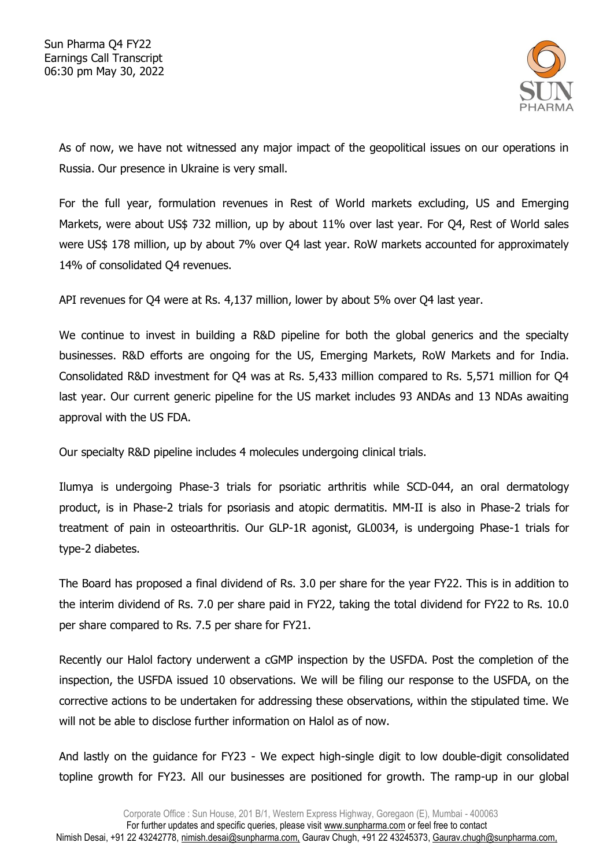

As of now, we have not witnessed any major impact of the geopolitical issues on our operations in Russia. Our presence in Ukraine is very small.

For the full year, formulation revenues in Rest of World markets excluding, US and Emerging Markets, were about US\$ 732 million, up by about 11% over last year. For Q4, Rest of World sales were US\$ 178 million, up by about 7% over Q4 last year. RoW markets accounted for approximately 14% of consolidated Q4 revenues.

API revenues for Q4 were at Rs. 4,137 million, lower by about 5% over Q4 last year.

We continue to invest in building a R&D pipeline for both the global generics and the specialty businesses. R&D efforts are ongoing for the US, Emerging Markets, RoW Markets and for India. Consolidated R&D investment for Q4 was at Rs. 5,433 million compared to Rs. 5,571 million for Q4 last year. Our current generic pipeline for the US market includes 93 ANDAs and 13 NDAs awaiting approval with the US FDA.

Our specialty R&D pipeline includes 4 molecules undergoing clinical trials.

Ilumya is undergoing Phase-3 trials for psoriatic arthritis while SCD-044, an oral dermatology product, is in Phase-2 trials for psoriasis and atopic dermatitis. MM-II is also in Phase-2 trials for treatment of pain in osteoarthritis. Our GLP-1R agonist, GL0034, is undergoing Phase-1 trials for type-2 diabetes.

The Board has proposed a final dividend of Rs. 3.0 per share for the year FY22. This is in addition to the interim dividend of Rs. 7.0 per share paid in FY22, taking the total dividend for FY22 to Rs. 10.0 per share compared to Rs. 7.5 per share for FY21.

Recently our Halol factory underwent a cGMP inspection by the USFDA. Post the completion of the inspection, the USFDA issued 10 observations. We will be filing our response to the USFDA, on the corrective actions to be undertaken for addressing these observations, within the stipulated time. We will not be able to disclose further information on Halol as of now.

And lastly on the guidance for FY23 - We expect high-single digit to low double-digit consolidated topline growth for FY23. All our businesses are positioned for growth. The ramp-up in our global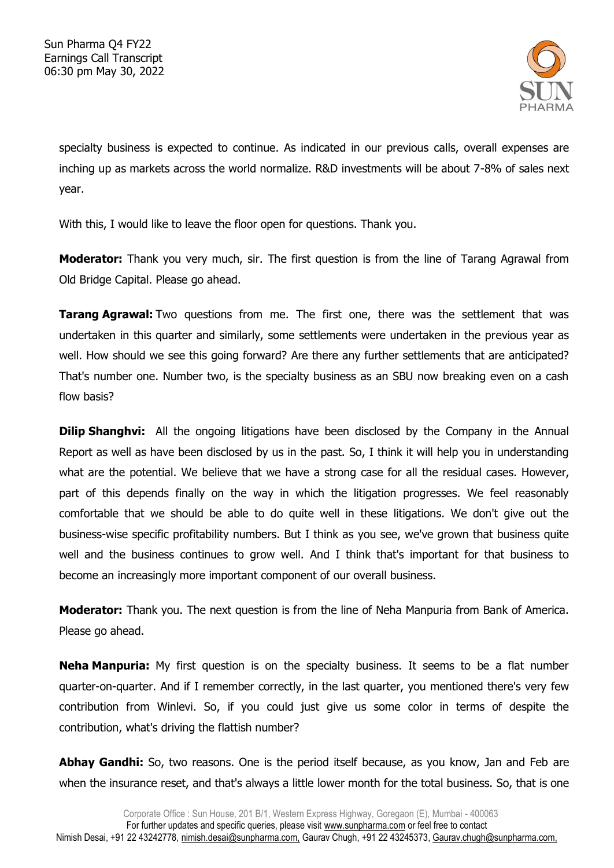

specialty business is expected to continue. As indicated in our previous calls, overall expenses are inching up as markets across the world normalize. R&D investments will be about 7-8% of sales next year.

With this, I would like to leave the floor open for questions. Thank you.

**Moderator:** Thank you very much, sir. The first question is from the line of Tarang Agrawal from Old Bridge Capital. Please go ahead.

**Tarang Agrawal:** Two questions from me. The first one, there was the settlement that was undertaken in this quarter and similarly, some settlements were undertaken in the previous year as well. How should we see this going forward? Are there any further settlements that are anticipated? That's number one. Number two, is the specialty business as an SBU now breaking even on a cash flow basis?

**Dilip Shanghvi:** All the ongoing litigations have been disclosed by the Company in the Annual Report as well as have been disclosed by us in the past. So, I think it will help you in understanding what are the potential. We believe that we have a strong case for all the residual cases. However, part of this depends finally on the way in which the litigation progresses. We feel reasonably comfortable that we should be able to do quite well in these litigations. We don't give out the business-wise specific profitability numbers. But I think as you see, we've grown that business quite well and the business continues to grow well. And I think that's important for that business to become an increasingly more important component of our overall business.

**Moderator:** Thank you. The next question is from the line of Neha Manpuria from Bank of America. Please go ahead.

**Neha Manpuria:** My first question is on the specialty business. It seems to be a flat number quarter-on-quarter. And if I remember correctly, in the last quarter, you mentioned there's very few contribution from Winlevi. So, if you could just give us some color in terms of despite the contribution, what's driving the flattish number?

**Abhay Gandhi:** So, two reasons. One is the period itself because, as you know, Jan and Feb are when the insurance reset, and that's always a little lower month for the total business. So, that is one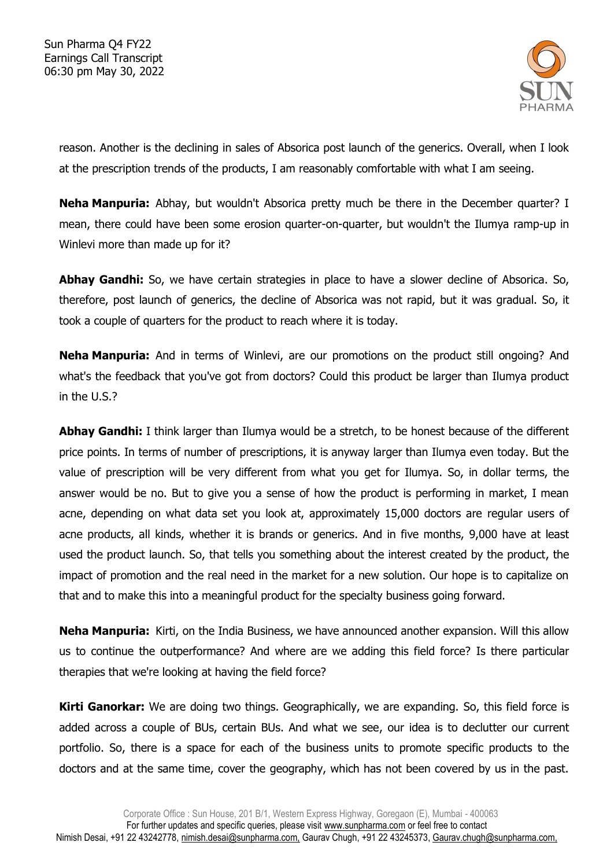

reason. Another is the declining in sales of Absorica post launch of the generics. Overall, when I look at the prescription trends of the products, I am reasonably comfortable with what I am seeing.

**Neha Manpuria:** Abhay, but wouldn't Absorica pretty much be there in the December quarter? I mean, there could have been some erosion quarter-on-quarter, but wouldn't the Ilumya ramp-up in Winlevi more than made up for it?

**Abhay Gandhi:** So, we have certain strategies in place to have a slower decline of Absorica. So, therefore, post launch of generics, the decline of Absorica was not rapid, but it was gradual. So, it took a couple of quarters for the product to reach where it is today.

**Neha Manpuria:** And in terms of Winlevi, are our promotions on the product still ongoing? And what's the feedback that you've got from doctors? Could this product be larger than Ilumya product in the U.S.?

**Abhay Gandhi:** I think larger than Ilumya would be a stretch, to be honest because of the different price points. In terms of number of prescriptions, it is anyway larger than Ilumya even today. But the value of prescription will be very different from what you get for Ilumya. So, in dollar terms, the answer would be no. But to give you a sense of how the product is performing in market, I mean acne, depending on what data set you look at, approximately 15,000 doctors are regular users of acne products, all kinds, whether it is brands or generics. And in five months, 9,000 have at least used the product launch. So, that tells you something about the interest created by the product, the impact of promotion and the real need in the market for a new solution. Our hope is to capitalize on that and to make this into a meaningful product for the specialty business going forward.

**Neha Manpuria:** Kirti, on the India Business, we have announced another expansion. Will this allow us to continue the outperformance? And where are we adding this field force? Is there particular therapies that we're looking at having the field force?

**Kirti Ganorkar:** We are doing two things. Geographically, we are expanding. So, this field force is added across a couple of BUs, certain BUs. And what we see, our idea is to declutter our current portfolio. So, there is a space for each of the business units to promote specific products to the doctors and at the same time, cover the geography, which has not been covered by us in the past.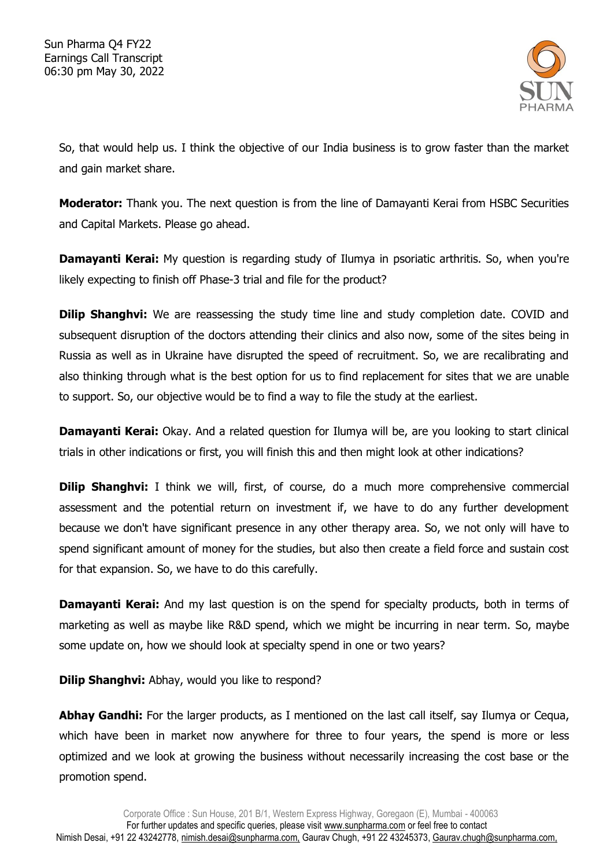

So, that would help us. I think the objective of our India business is to grow faster than the market and gain market share.

**Moderator:** Thank you. The next question is from the line of Damayanti Kerai from HSBC Securities and Capital Markets. Please go ahead.

**Damayanti Kerai:** My question is regarding study of Ilumya in psoriatic arthritis. So, when you're likely expecting to finish off Phase-3 trial and file for the product?

**Dilip Shanghvi:** We are reassessing the study time line and study completion date. COVID and subsequent disruption of the doctors attending their clinics and also now, some of the sites being in Russia as well as in Ukraine have disrupted the speed of recruitment. So, we are recalibrating and also thinking through what is the best option for us to find replacement for sites that we are unable to support. So, our objective would be to find a way to file the study at the earliest.

**Damayanti Kerai:** Okay. And a related question for Ilumya will be, are you looking to start clinical trials in other indications or first, you will finish this and then might look at other indications?

**Dilip Shanghvi:** I think we will, first, of course, do a much more comprehensive commercial assessment and the potential return on investment if, we have to do any further development because we don't have significant presence in any other therapy area. So, we not only will have to spend significant amount of money for the studies, but also then create a field force and sustain cost for that expansion. So, we have to do this carefully.

**Damayanti Kerai:** And my last question is on the spend for specialty products, both in terms of marketing as well as maybe like R&D spend, which we might be incurring in near term. So, maybe some update on, how we should look at specialty spend in one or two years?

**Dilip Shanghvi:** Abhay, would you like to respond?

**Abhay Gandhi:** For the larger products, as I mentioned on the last call itself, say Ilumya or Cequa, which have been in market now anywhere for three to four years, the spend is more or less optimized and we look at growing the business without necessarily increasing the cost base or the promotion spend.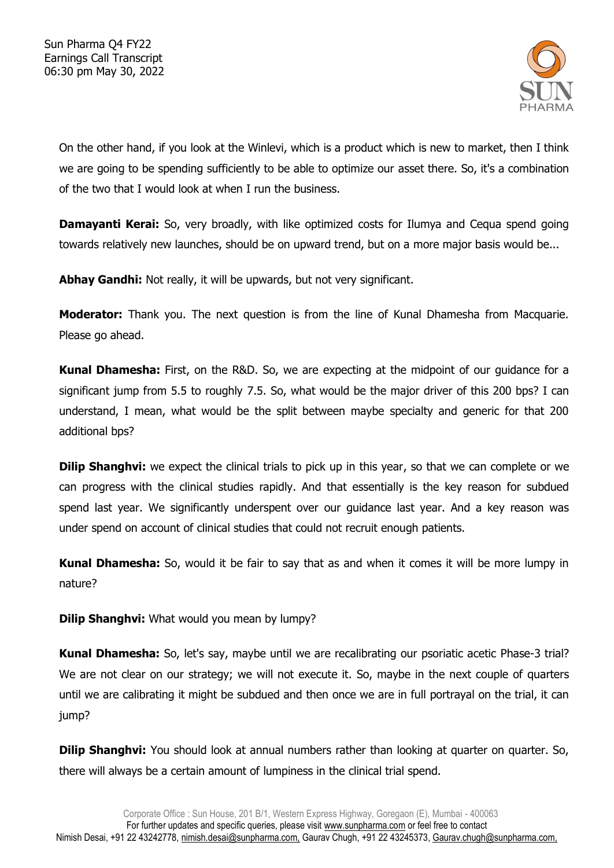

On the other hand, if you look at the Winlevi, which is a product which is new to market, then I think we are going to be spending sufficiently to be able to optimize our asset there. So, it's a combination of the two that I would look at when I run the business.

**Damayanti Kerai:** So, very broadly, with like optimized costs for Ilumya and Cequa spend going towards relatively new launches, should be on upward trend, but on a more major basis would be...

Abhay Gandhi: Not really, it will be upwards, but not very significant.

**Moderator:** Thank you. The next question is from the line of Kunal Dhamesha from Macquarie. Please go ahead.

**Kunal Dhamesha:** First, on the R&D. So, we are expecting at the midpoint of our guidance for a significant jump from 5.5 to roughly 7.5. So, what would be the major driver of this 200 bps? I can understand, I mean, what would be the split between maybe specialty and generic for that 200 additional bps?

**Dilip Shanghvi:** we expect the clinical trials to pick up in this year, so that we can complete or we can progress with the clinical studies rapidly. And that essentially is the key reason for subdued spend last year. We significantly underspent over our guidance last year. And a key reason was under spend on account of clinical studies that could not recruit enough patients.

**Kunal Dhamesha:** So, would it be fair to say that as and when it comes it will be more lumpy in nature?

**Dilip Shanghvi:** What would you mean by lumpy?

**Kunal Dhamesha:** So, let's say, maybe until we are recalibrating our psoriatic acetic Phase-3 trial? We are not clear on our strategy; we will not execute it. So, maybe in the next couple of quarters until we are calibrating it might be subdued and then once we are in full portrayal on the trial, it can jump?

**Dilip Shanghvi:** You should look at annual numbers rather than looking at quarter on quarter. So, there will always be a certain amount of lumpiness in the clinical trial spend.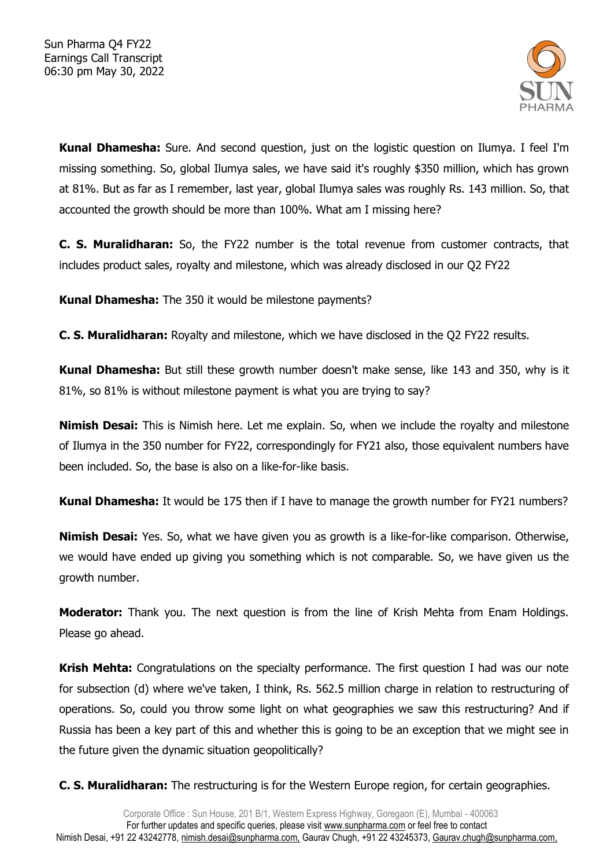

**Kunal Dhamesha:** Sure. And second question, just on the logistic question on Ilumya. I feel I'm missing something. So, global Ilumya sales, we have said it's roughly \$350 million, which has grown at 81%. But as far as I remember, last year, global Ilumya sales was roughly Rs. 143 million. So, that accounted the growth should be more than 100%. What am I missing here?

**C. S. Muralidharan:** So, the FY22 number is the total revenue from customer contracts, that includes product sales, royalty and milestone, which was already disclosed in our Q2 FY22

**Kunal Dhamesha:** The 350 it would be milestone payments?

**C. S. Muralidharan:** Royalty and milestone, which we have disclosed in the Q2 FY22 results.

**Kunal Dhamesha:** But still these growth number doesn't make sense, like 143 and 350, why is it 81%, so 81% is without milestone payment is what you are trying to say?

**Nimish Desai:** This is Nimish here. Let me explain. So, when we include the royalty and milestone of Ilumya in the 350 number for FY22, correspondingly for FY21 also, those equivalent numbers have been included. So, the base is also on a like-for-like basis.

**Kunal Dhamesha:** It would be 175 then if I have to manage the growth number for FY21 numbers?

**Nimish Desai:** Yes. So, what we have given you as growth is a like-for-like comparison. Otherwise, we would have ended up giving you something which is not comparable. So, we have given us the growth number.

**Moderator:** Thank you. The next question is from the line of Krish Mehta from Enam Holdings. Please go ahead.

**Krish Mehta:** Congratulations on the specialty performance. The first question I had was our note for subsection (d) where we've taken, I think, Rs. 562.5 million charge in relation to restructuring of operations. So, could you throw some light on what geographies we saw this restructuring? And if Russia has been a key part of this and whether this is going to be an exception that we might see in the future given the dynamic situation geopolitically?

**C. S. Muralidharan:** The restructuring is for the Western Europe region, for certain geographies.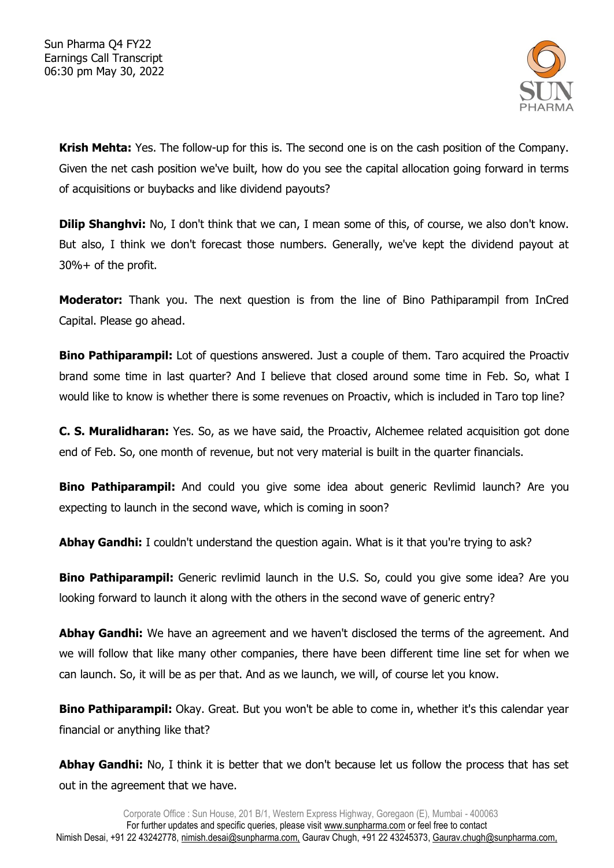

**Krish Mehta:** Yes. The follow-up for this is. The second one is on the cash position of the Company. Given the net cash position we've built, how do you see the capital allocation going forward in terms of acquisitions or buybacks and like dividend payouts?

**Dilip Shanghvi:** No, I don't think that we can, I mean some of this, of course, we also don't know. But also, I think we don't forecast those numbers. Generally, we've kept the dividend payout at 30%+ of the profit.

**Moderator:** Thank you. The next question is from the line of Bino Pathiparampil from InCred Capital. Please go ahead.

**Bino Pathiparampil:** Lot of questions answered. Just a couple of them. Taro acquired the Proactiv brand some time in last quarter? And I believe that closed around some time in Feb. So, what I would like to know is whether there is some revenues on Proactiv, which is included in Taro top line?

**C. S. Muralidharan:** Yes. So, as we have said, the Proactiv, Alchemee related acquisition got done end of Feb. So, one month of revenue, but not very material is built in the quarter financials.

**Bino Pathiparampil:** And could you give some idea about generic Revlimid launch? Are you expecting to launch in the second wave, which is coming in soon?

**Abhay Gandhi:** I couldn't understand the question again. What is it that you're trying to ask?

**Bino Pathiparampil:** Generic revlimid launch in the U.S. So, could you give some idea? Are you looking forward to launch it along with the others in the second wave of generic entry?

**Abhay Gandhi:** We have an agreement and we haven't disclosed the terms of the agreement. And we will follow that like many other companies, there have been different time line set for when we can launch. So, it will be as per that. And as we launch, we will, of course let you know.

**Bino Pathiparampil:** Okay. Great. But you won't be able to come in, whether it's this calendar year financial or anything like that?

**Abhay Gandhi:** No, I think it is better that we don't because let us follow the process that has set out in the agreement that we have.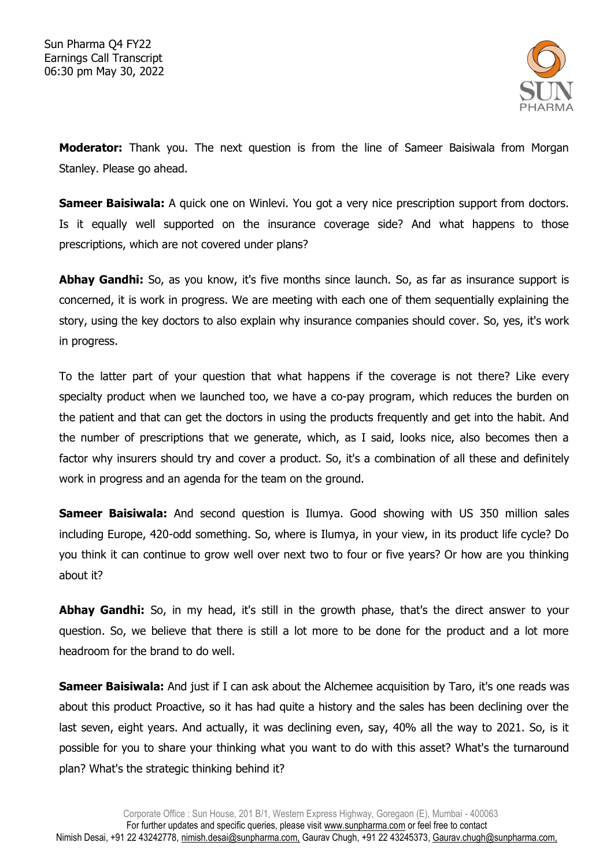

**Moderator:** Thank you. The next question is from the line of Sameer Baisiwala from Morgan Stanley. Please go ahead.

**Sameer Baisiwala:** A quick one on Winlevi. You got a very nice prescription support from doctors. Is it equally well supported on the insurance coverage side? And what happens to those prescriptions, which are not covered under plans?

**Abhay Gandhi:** So, as you know, it's five months since launch. So, as far as insurance support is concerned, it is work in progress. We are meeting with each one of them sequentially explaining the story, using the key doctors to also explain why insurance companies should cover. So, yes, it's work in progress.

To the latter part of your question that what happens if the coverage is not there? Like every specialty product when we launched too, we have a co-pay program, which reduces the burden on the patient and that can get the doctors in using the products frequently and get into the habit. And the number of prescriptions that we generate, which, as I said, looks nice, also becomes then a factor why insurers should try and cover a product. So, it's a combination of all these and definitely work in progress and an agenda for the team on the ground.

**Sameer Baisiwala:** And second question is Ilumya. Good showing with US 350 million sales including Europe, 420-odd something. So, where is Ilumya, in your view, in its product life cycle? Do you think it can continue to grow well over next two to four or five years? Or how are you thinking about it?

**Abhay Gandhi:** So, in my head, it's still in the growth phase, that's the direct answer to your question. So, we believe that there is still a lot more to be done for the product and a lot more headroom for the brand to do well.

**Sameer Baisiwala:** And just if I can ask about the Alchemee acquisition by Taro, it's one reads was about this product Proactive, so it has had quite a history and the sales has been declining over the last seven, eight years. And actually, it was declining even, say, 40% all the way to 2021. So, is it possible for you to share your thinking what you want to do with this asset? What's the turnaround plan? What's the strategic thinking behind it?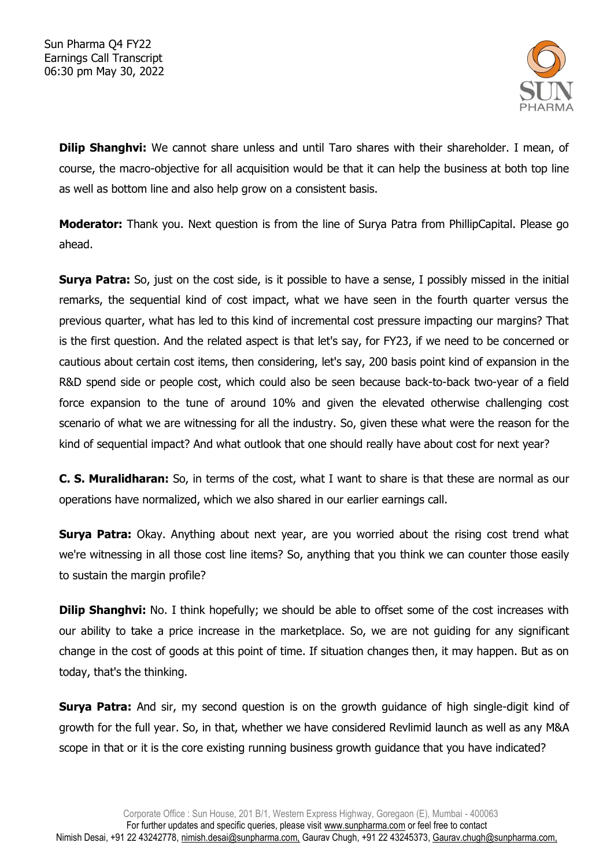

**Dilip Shanghvi:** We cannot share unless and until Taro shares with their shareholder. I mean, of course, the macro-objective for all acquisition would be that it can help the business at both top line as well as bottom line and also help grow on a consistent basis.

**Moderator:** Thank you. Next question is from the line of Surya Patra from PhillipCapital. Please go ahead.

**Surya Patra:** So, just on the cost side, is it possible to have a sense, I possibly missed in the initial remarks, the sequential kind of cost impact, what we have seen in the fourth quarter versus the previous quarter, what has led to this kind of incremental cost pressure impacting our margins? That is the first question. And the related aspect is that let's say, for FY23, if we need to be concerned or cautious about certain cost items, then considering, let's say, 200 basis point kind of expansion in the R&D spend side or people cost, which could also be seen because back-to-back two-year of a field force expansion to the tune of around 10% and given the elevated otherwise challenging cost scenario of what we are witnessing for all the industry. So, given these what were the reason for the kind of sequential impact? And what outlook that one should really have about cost for next year?

**C. S. Muralidharan:** So, in terms of the cost, what I want to share is that these are normal as our operations have normalized, which we also shared in our earlier earnings call.

**Surya Patra:** Okay. Anything about next year, are you worried about the rising cost trend what we're witnessing in all those cost line items? So, anything that you think we can counter those easily to sustain the margin profile?

**Dilip Shanghvi:** No. I think hopefully; we should be able to offset some of the cost increases with our ability to take a price increase in the marketplace. So, we are not guiding for any significant change in the cost of goods at this point of time. If situation changes then, it may happen. But as on today, that's the thinking.

**Surya Patra:** And sir, my second question is on the growth guidance of high single-digit kind of growth for the full year. So, in that, whether we have considered Revlimid launch as well as any M&A scope in that or it is the core existing running business growth guidance that you have indicated?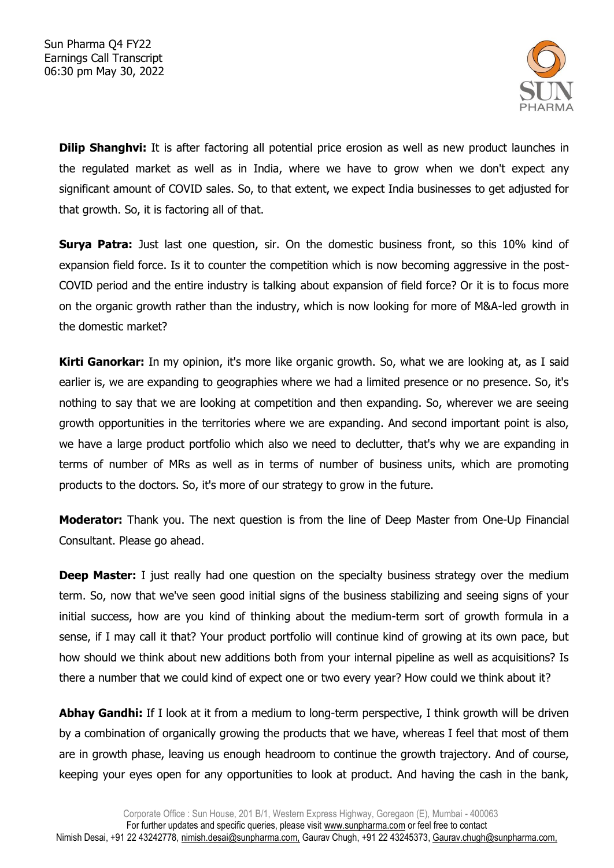

**Dilip Shanghvi:** It is after factoring all potential price erosion as well as new product launches in the regulated market as well as in India, where we have to grow when we don't expect any significant amount of COVID sales. So, to that extent, we expect India businesses to get adjusted for that growth. So, it is factoring all of that.

**Surya Patra:** Just last one question, sir. On the domestic business front, so this 10% kind of expansion field force. Is it to counter the competition which is now becoming aggressive in the post-COVID period and the entire industry is talking about expansion of field force? Or it is to focus more on the organic growth rather than the industry, which is now looking for more of M&A-led growth in the domestic market?

**Kirti Ganorkar:** In my opinion, it's more like organic growth. So, what we are looking at, as I said earlier is, we are expanding to geographies where we had a limited presence or no presence. So, it's nothing to say that we are looking at competition and then expanding. So, wherever we are seeing growth opportunities in the territories where we are expanding. And second important point is also, we have a large product portfolio which also we need to declutter, that's why we are expanding in terms of number of MRs as well as in terms of number of business units, which are promoting products to the doctors. So, it's more of our strategy to grow in the future.

**Moderator:** Thank you. The next question is from the line of Deep Master from One-Up Financial Consultant. Please go ahead.

**Deep Master:** I just really had one question on the specialty business strategy over the medium term. So, now that we've seen good initial signs of the business stabilizing and seeing signs of your initial success, how are you kind of thinking about the medium-term sort of growth formula in a sense, if I may call it that? Your product portfolio will continue kind of growing at its own pace, but how should we think about new additions both from your internal pipeline as well as acquisitions? Is there a number that we could kind of expect one or two every year? How could we think about it?

**Abhay Gandhi:** If I look at it from a medium to long-term perspective, I think growth will be driven by a combination of organically growing the products that we have, whereas I feel that most of them are in growth phase, leaving us enough headroom to continue the growth trajectory. And of course, keeping your eyes open for any opportunities to look at product. And having the cash in the bank,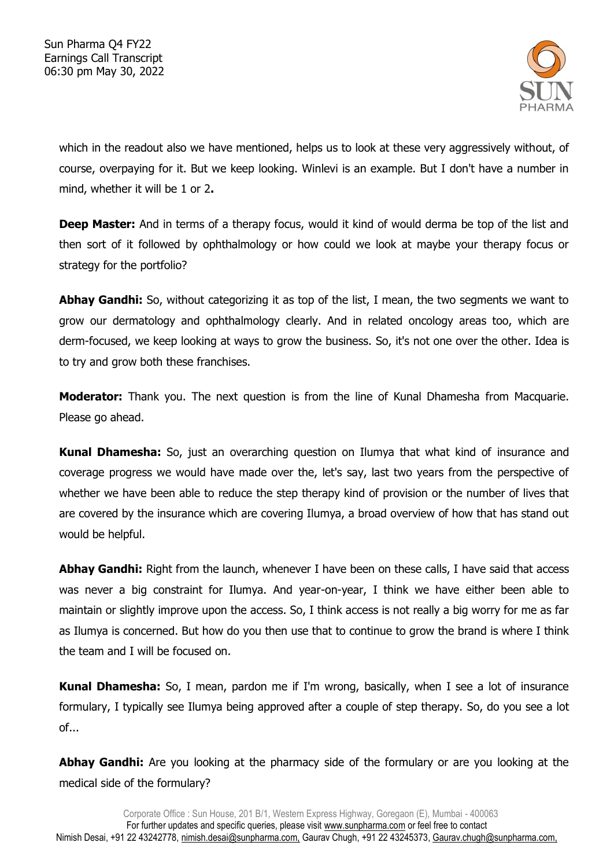

which in the readout also we have mentioned, helps us to look at these very aggressively without, of course, overpaying for it. But we keep looking. Winlevi is an example. But I don't have a number in mind, whether it will be 1 or 2**.**

**Deep Master:** And in terms of a therapy focus, would it kind of would derma be top of the list and then sort of it followed by ophthalmology or how could we look at maybe your therapy focus or strategy for the portfolio?

**Abhay Gandhi:** So, without categorizing it as top of the list, I mean, the two segments we want to grow our dermatology and ophthalmology clearly. And in related oncology areas too, which are derm-focused, we keep looking at ways to grow the business. So, it's not one over the other. Idea is to try and grow both these franchises.

**Moderator:** Thank you. The next question is from the line of Kunal Dhamesha from Macquarie. Please go ahead.

**Kunal Dhamesha:** So, just an overarching question on Ilumya that what kind of insurance and coverage progress we would have made over the, let's say, last two years from the perspective of whether we have been able to reduce the step therapy kind of provision or the number of lives that are covered by the insurance which are covering Ilumya, a broad overview of how that has stand out would be helpful.

**Abhay Gandhi:** Right from the launch, whenever I have been on these calls, I have said that access was never a big constraint for Ilumya. And year-on-year, I think we have either been able to maintain or slightly improve upon the access. So, I think access is not really a big worry for me as far as Ilumya is concerned. But how do you then use that to continue to grow the brand is where I think the team and I will be focused on.

**Kunal Dhamesha:** So, I mean, pardon me if I'm wrong, basically, when I see a lot of insurance formulary, I typically see Ilumya being approved after a couple of step therapy. So, do you see a lot of...

**Abhay Gandhi:** Are you looking at the pharmacy side of the formulary or are you looking at the medical side of the formulary?